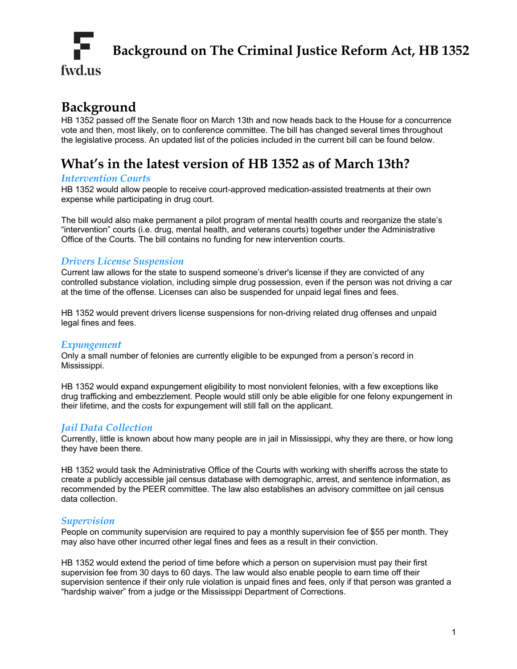

# **Background**

HB 1352 passed off the Senate floor on March 13th and now heads back to the House for a concurrence vote and then, most likely, on to conference committee. The bill has changed several times throughout the legislative process. An updated list of the policies included in the current bill can be found below.

## **What's in the latest version of HB 1352 as of March 13th?**

#### *Intervention Courts*

HB 1352 would allow people to receive court-approved medication-assisted treatments at their own expense while participating in drug court.

The bill would also make permanent a pilot program of mental health courts and reorganize the state's "intervention" courts (i.e. drug, mental health, and veterans courts) together under the Administrative Office of the Courts. The bill contains no funding for new intervention courts.

### *Drivers License Suspension*

Current law allows for the state to suspend someone's driver's license if they are convicted of any controlled substance violation, including simple drug possession, even if the person was not driving a car at the time of the offense. Licenses can also be suspended for unpaid legal fines and fees.

HB 1352 would prevent drivers license suspensions for non-driving related drug offenses and unpaid legal fines and fees.

#### *Expungement*

Only a small number of felonies are currently eligible to be expunged from a person's record in Mississippi.

HB 1352 would expand expungement eligibility to most nonviolent felonies, with a few exceptions like drug trafficking and embezzlement. People would still only be able eligible for one felony expungement in their lifetime, and the costs for expungement will still fall on the applicant.

#### *Jail Data Collection*

Currently, little is known about how many people are in jail in Mississippi, why they are there, or how long they have been there.

HB 1352 would task the Administrative Office of the Courts with working with sheriffs across the state to create a publicly accessible jail census database with demographic, arrest, and sentence information, as recommended by the PEER committee. The law also establishes an advisory committee on jail census data collection.

#### *Supervision*

People on community supervision are required to pay a monthly supervision fee of \$55 per month. They may also have other incurred other legal fines and fees as a result in their conviction.

HB 1352 would extend the period of time before which a person on supervision must pay their first supervision fee from 30 days to 60 days. The law would also enable people to earn time off their supervision sentence if their only rule violation is unpaid fines and fees, only if that person was granted a "hardship waiver" from a judge or the Mississippi Department of Corrections.